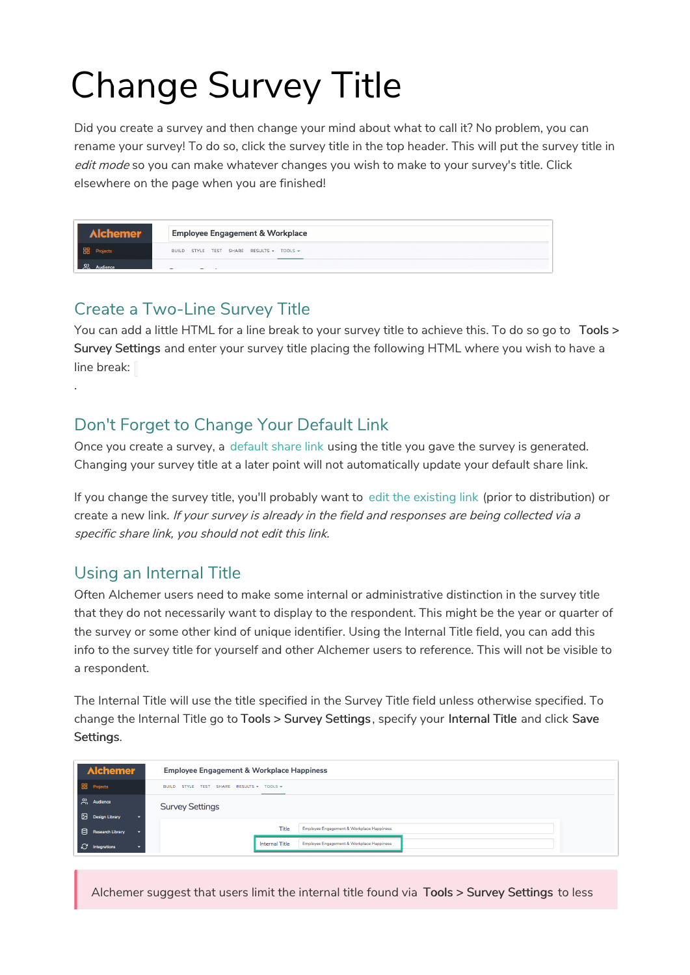## Change Survey Title

Did you create a survey and then change your mind about what to call it? No problem, you can rename your survey! To do so, click the survey title in the top header. This will put the survey title in edit mode so you can make whatever changes you wish to make to your survey's title. Click elsewhere on the page when you are finished!

|                       | <b>Employee Engagement &amp; Workplace</b> |  |  |  |
|-----------------------|--------------------------------------------|--|--|--|
| Projects              | BUILD STYLE TEST SHARE RESULTS . TOOLS .   |  |  |  |
| <u>ୁର</u><br>Audience |                                            |  |  |  |

## Create a Two-Line Survey Title

You can add a little HTML for a line break to your survey title to achieve this. To do so go to Tools > Survey Settings and enter your survey title placing the following HTML where you wish to have a line break:

## Don't Forget to Change Your Default Link

Once you create a survey, a default share link using the title you gave the survey is generated. Changing your survey title at a later point will not automatically update your default share link.

If you change the survey title, you'll probably want to edit the existing link (prior to distribution) or create a new link. If your survey is already in the field and responses are being collected via a specific share link, you should not edit this link.

## Using an Internal Title

.

Often Alchemer users need to make some internal or administrative distinction in the survey title that they do not necessarily want to display to the respondent. This might be the year or quarter of the survey or some other kind of unique identifier. Using the Internal Title field, you can add this info to the survey title for yourself and other Alchemer users to reference. This will not be visible to a respondent.

The Internal Title will use the title specified in the Survey Title field unless otherwise specified. To change the Internal Title go to Tools > Survey Settings , specify your Internal Title and click Save Settings.

| <b>Alchemer</b><br><b>Employee Engagement &amp; Workplace Happiness</b> |  |                                                       |                       |                                           |  |
|-------------------------------------------------------------------------|--|-------------------------------------------------------|-----------------------|-------------------------------------------|--|
| <b>88</b> Projects                                                      |  | SHARE RESULTS - TOOLS -<br>STYLE TEST<br><b>BUILD</b> |                       |                                           |  |
| $\beta$ Audience                                                        |  | <b>Survey Settings</b>                                |                       |                                           |  |
| Design Library<br>$\overline{\phantom{0}}$                              |  |                                                       |                       |                                           |  |
| Research Library                                                        |  |                                                       | Title                 | Employee Engagement & Workplace Happiness |  |
| <b>C</b> Integrations<br>≂                                              |  |                                                       | <b>Internal Title</b> | Employee Engagement & Workplace Happiness |  |

Alchemer suggest that users limit the internal title found via Tools > Survey Settings to less